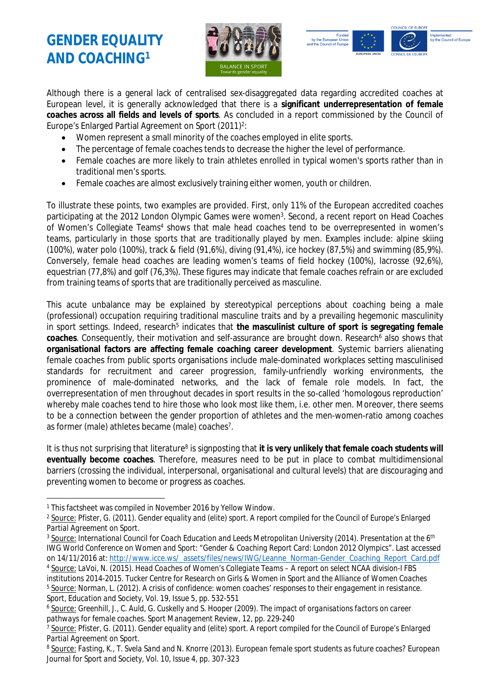## **GENDER EQUALITY AND COACHING<sup>1</sup>**





Although there is a general lack of centralised sex-disaggregated data regarding accredited coaches at European level, it is generally acknowledged that there is a **significant underrepresentation of female coaches across all fields and levels of sports**. As concluded in a report commissioned by the Council of Europe's Enlarged Partial Agreement on Sport (2011)<sup>2</sup>:

- Women represent a small minority of the coaches employed in elite sports.
- The percentage of female coaches tends to decrease the higher the level of performance.
- Female coaches are more likely to train athletes enrolled in typical women's sports rather than in traditional men's sports.
- Female coaches are almost exclusively training either women, youth or children.

To illustrate these points, two examples are provided. First, only 11% of the European accredited coaches participating at the 2012 London Olympic Games were women<sup>3</sup>. Second, a recent report on Head Coaches of Women's Collegiate Teams<sup>4</sup> shows that male head coaches tend to be overrepresented in women's teams, particularly in those sports that are traditionally played by men. Examples include: alpine skiing (100%), water polo (100%), track & field (91,6%), diving (91,4%), ice hockey (87,5%) and swimming (85,9%). Conversely, female head coaches are leading women's teams of field hockey (100%), lacrosse (92,6%), equestrian (77,8%) and golf (76,3%). These figures may indicate that female coaches refrain or are excluded from training teams of sports that are traditionally perceived as masculine.

This acute unbalance may be explained by stereotypical perceptions about coaching being a male (professional) occupation requiring traditional masculine traits and by a prevailing hegemonic masculinity in sport settings. Indeed, research<sup>5</sup> indicates that the masculinist culture of sport is segregating female coaches. Consequently, their motivation and self-assurance are brought down. Research<sup>6</sup> also shows that **organisational factors are affecting female coaching career development**. Systemic barriers alienating female coaches from public sports organisations include male-dominated workplaces setting masculinised standards for recruitment and career progression, family-unfriendly working environments, the prominence of male-dominated networks, and the lack of female role models. In fact, the overrepresentation of men throughout decades in sport results in the so-called 'homologous reproduction' whereby male coaches tend to hire those who look most like them, i.e. other men. Moreover, there seems to be a connection between the gender proportion of athletes and the men-women-ratio among coaches as former (male) athletes became (male) coaches<sup>7</sup>.

It is thus not surprising that literature<sup>8</sup> is signposting that it is very unlikely that female coach students will **eventually become coaches**. Therefore, measures need to be put in place to combat multidimensional barriers (crossing the individual, interpersonal, organisational and cultural levels) that are discouraging and preventing women to become or progress as coaches.

*Sport, Education and Society, Vol. 19, Issue 5, pp. 532-551*

<sup>&</sup>lt;sup>1</sup> This factsheet was compiled in November 2016 by Yellow Window.

<sup>2</sup> Source: *Pfister, G. (2011). Gender equality and (elite) sport. A report compiled for the Council of Europe's Enlarged Partial Agreement on Sport.*

<sup>3</sup> Source: *International Council for Coach Education and Leeds Metropolitan University (2014). Presentation at the 6th IWG World Conference on Women and Sport: "Gender & Coaching Report Card: London 2012 Olympics".* Last accessed on 14/11/2016 at: [http://www.icce.ws/\\_assets/files/news/IWG/Leanne\\_Norman-Gender\\_Coaching\\_Report\\_Card.pdf](http://www.icce.ws/_assets/files/news/IWG/Leanne_Norman-Gender_Coaching_Report_Card.pdf)

<sup>4</sup> Source: *LaVoi, N. (2015). Head Coaches of Women's Collegiate Teams – A report on select NCAA division-I FBS institutions 2014-2015. Tucker Centre for Research on Girls & Women in Sport and the Alliance of Women Coaches* <sup>5</sup> <u>Source:</u> Norman, L. (2012). A crisis of confidence: women coaches' responses to their engagement in resistance.

<sup>6</sup> Source: *Greenhill, J., C. Auld, G. Cuskelly and S. Hooper (2009). The impact of organisations factors on career pathways for female coaches. Sport Management Review, 12, pp. 229-240*

<sup>7</sup> Source: *Pfister, G. (2011). Gender equality and (elite) sport. A report compiled for the Council of Europe's Enlarged Partial Agreement on Sport.*

<sup>8</sup> Source: *Fasting, K., T. Svela Sand and N. Knorre (2013). European female sport students as future coaches? European Journal for Sport and Society, Vol. 10, Issue 4, pp. 307-323*